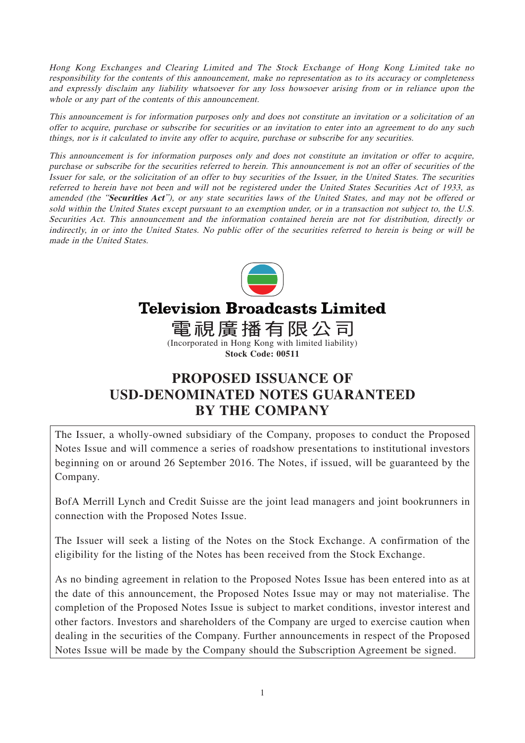Hong Kong Exchanges and Clearing Limited and The Stock Exchange of Hong Kong Limited take no responsibility for the contents of this announcement, make no representation as to its accuracy or completeness and expressly disclaim any liability whatsoever for any loss howsoever arising from or in reliance upon the whole or any part of the contents of this announcement.

This announcement is for information purposes only and does not constitute an invitation or a solicitation of an offer to acquire, purchase or subscribe for securities or an invitation to enter into an agreement to do any such things, nor is it calculated to invite any offer to acquire, purchase or subscribe for any securities.

This announcement is for information purposes only and does not constitute an invitation or offer to acquire, purchase or subscribe for the securities referred to herein. This announcement is not an offer of securities of the Issuer for sale, or the solicitation of an offer to buy securities of the Issuer, in the United States. The securities referred to herein have not been and will not be registered under the United States Securities Act of 1933, as amended (the "**Securities Act**"), or any state securities laws of the United States, and may not be offered or sold within the United States except pursuant to an exemption under, or in a transaction not subject to, the U.S. Securities Act. This announcement and the information contained herein are not for distribution, directly or indirectly, in or into the United States. No public offer of the securities referred to herein is being or will be made in the United States.



# **Television Broadcasts Limited**

電視廣播有限公司 (Incorporated in Hong Kong with limited liability)

**Stock Code: 00511**

# **PROPOSED ISSUANCE OF USD-DENOMINATED NOTES GUARANTEED BY THE COMPANY**

The Issuer, a wholly-owned subsidiary of the Company, proposes to conduct the Proposed Notes Issue and will commence a series of roadshow presentations to institutional investors beginning on or around 26 September 2016. The Notes, if issued, will be guaranteed by the Company.

BofA Merrill Lynch and Credit Suisse are the joint lead managers and joint bookrunners in connection with the Proposed Notes Issue.

The Issuer will seek a listing of the Notes on the Stock Exchange. A confirmation of the eligibility for the listing of the Notes has been received from the Stock Exchange.

As no binding agreement in relation to the Proposed Notes Issue has been entered into as at the date of this announcement, the Proposed Notes Issue may or may not materialise. The completion of the Proposed Notes Issue is subject to market conditions, investor interest and other factors. Investors and shareholders of the Company are urged to exercise caution when dealing in the securities of the Company. Further announcements in respect of the Proposed Notes Issue will be made by the Company should the Subscription Agreement be signed.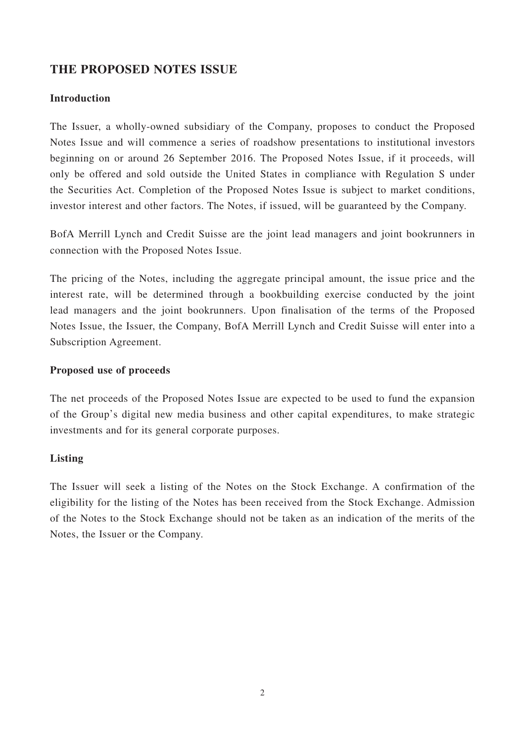# **THE PROPOSED NOTES ISSUE**

#### **Introduction**

The Issuer, a wholly-owned subsidiary of the Company, proposes to conduct the Proposed Notes Issue and will commence a series of roadshow presentations to institutional investors beginning on or around 26 September 2016. The Proposed Notes Issue, if it proceeds, will only be offered and sold outside the United States in compliance with Regulation S under the Securities Act. Completion of the Proposed Notes Issue is subject to market conditions, investor interest and other factors. The Notes, if issued, will be guaranteed by the Company.

BofA Merrill Lynch and Credit Suisse are the joint lead managers and joint bookrunners in connection with the Proposed Notes Issue.

The pricing of the Notes, including the aggregate principal amount, the issue price and the interest rate, will be determined through a bookbuilding exercise conducted by the joint lead managers and the joint bookrunners. Upon finalisation of the terms of the Proposed Notes Issue, the Issuer, the Company, BofA Merrill Lynch and Credit Suisse will enter into a Subscription Agreement.

#### **Proposed use of proceeds**

The net proceeds of the Proposed Notes Issue are expected to be used to fund the expansion of the Group's digital new media business and other capital expenditures, to make strategic investments and for its general corporate purposes.

#### **Listing**

The Issuer will seek a listing of the Notes on the Stock Exchange. A confirmation of the eligibility for the listing of the Notes has been received from the Stock Exchange. Admission of the Notes to the Stock Exchange should not be taken as an indication of the merits of the Notes, the Issuer or the Company.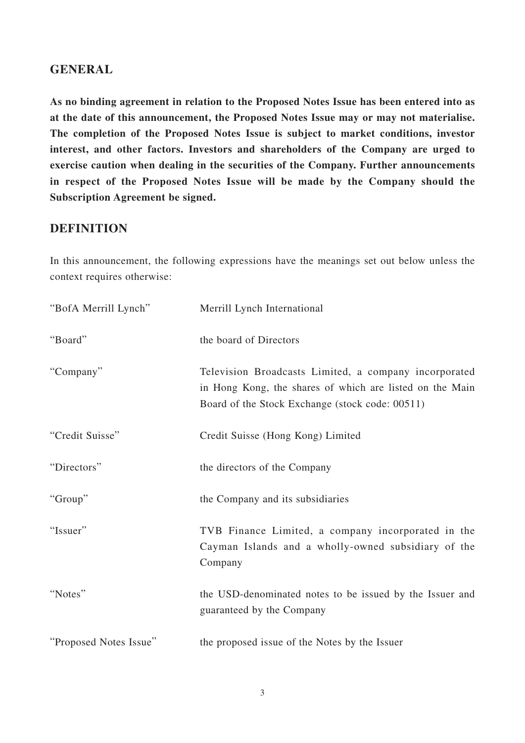# **GENERAL**

**As no binding agreement in relation to the Proposed Notes Issue has been entered into as at the date of this announcement, the Proposed Notes Issue may or may not materialise. The completion of the Proposed Notes Issue is subject to market conditions, investor interest, and other factors. Investors and shareholders of the Company are urged to exercise caution when dealing in the securities of the Company. Further announcements in respect of the Proposed Notes Issue will be made by the Company should the Subscription Agreement be signed.**

# **DEFINITION**

In this announcement, the following expressions have the meanings set out below unless the context requires otherwise:

| "BofA Merrill Lynch"   | Merrill Lynch International                                                                                                                                          |
|------------------------|----------------------------------------------------------------------------------------------------------------------------------------------------------------------|
| "Board"                | the board of Directors                                                                                                                                               |
| "Company"              | Television Broadcasts Limited, a company incorporated<br>in Hong Kong, the shares of which are listed on the Main<br>Board of the Stock Exchange (stock code: 00511) |
| "Credit Suisse"        | Credit Suisse (Hong Kong) Limited                                                                                                                                    |
| "Directors"            | the directors of the Company                                                                                                                                         |
| "Group"                | the Company and its subsidiaries                                                                                                                                     |
| "Issuer"               | TVB Finance Limited, a company incorporated in the<br>Cayman Islands and a wholly-owned subsidiary of the<br>Company                                                 |
| "Notes"                | the USD-denominated notes to be issued by the Issuer and<br>guaranteed by the Company                                                                                |
| "Proposed Notes Issue" | the proposed issue of the Notes by the Issuer                                                                                                                        |